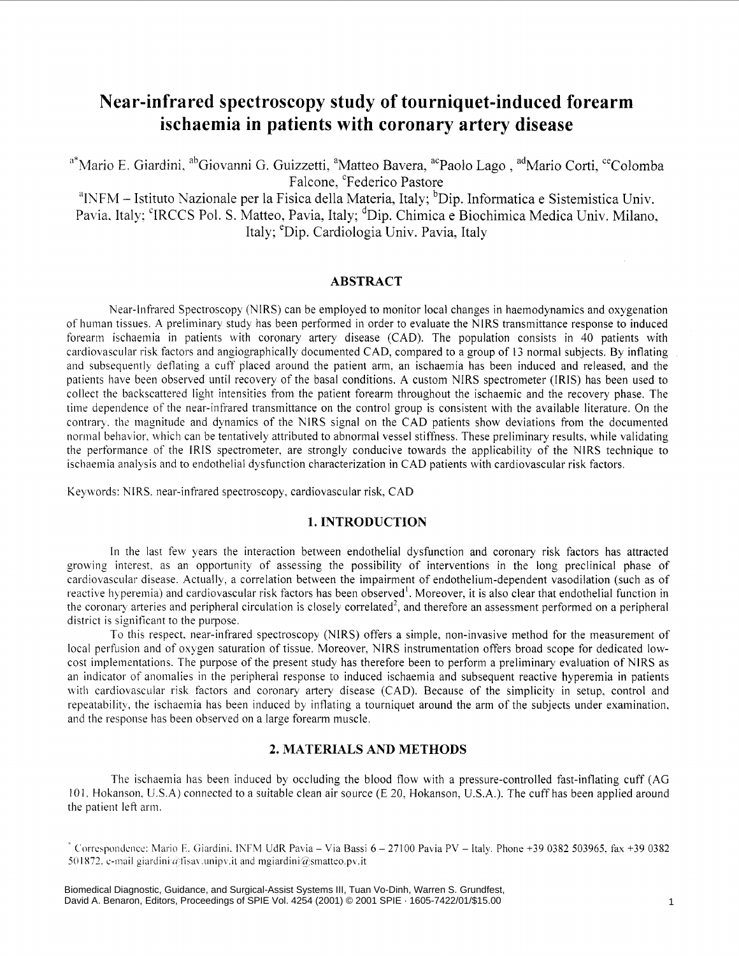# **Near-infrared spectroscopy study of tourniquet-induced forearm ischaemia in patients with coronary artery disease**

<sup>a\*</sup>Mario E. Giardini, <sup>ab</sup>Giovanni G. Guizzetti, <sup>a</sup>Matteo Bavera, <sup>ac</sup>Paolo Lago, <sup>ad</sup>Mario Corti, <sup>ce</sup>Colomba Falcone, 'Federico Pastore

<sup>a</sup>INFM - Istituto Nazionale per la Fisica della Materia, Italy; <sup>b</sup>Dip. Informatica e Sistemistica Univ. Pavia, Italy: <sup>c</sup>IRCCS Pol. S. Matteo, Pavia, Italy; <sup>d</sup>Dip. Chimica e Biochimica Medica Univ. Milano, Italy; <sup>e</sup>Dip. Cardiologia Univ. Pavia, Italy

## **ABSTRACT**

Near-Infrared Spectroscopy (NIRS) can be employed to monitor local changes in haemodynamics and oxygenation of human tissues. **A** preliminary study has been performed in order to evaluate the NlRS transmittance response to induced forearm ischaemia in patients with coronary artery disease (CAD). The population consists in 40 patients with cardiovascular risk factors and angiographically documented CAD, compared to a group of 13 normal subjects. By inflating and subsequently deflating a cuff placed around the patient arm, an ischaemia has been induced and released, and the patients have been observed until recovery of the basal conditions. A custom NIRS spectrometer (IRIS) has been used to collect the backscattered light intensities from the patient forearm throughout the ischaemic and the recovery phase. The time dependence of the near-infrared transmittance on the control group is consistent with the available literature. On the contrar). the magnitude and dynamics of the NlRS signal on the CAD patients show deviations from the documented normal behavior, which can be tentatively attributed to abnormal vessel stiffness. These preliminary results, while validating the performance of the IRIS spectrometer, are strongly conducive towards the applicability of the NlRS technique to ischaemia analysis and to endothelial dysfunction characterization in CAD patients with cardiovascular risk factors.

Keywords: NIRS. near-infrared spectroscopy, cardiovascular risk, CAD

# **1. INTRODUCTION**

In the last few years the interaction between endothelial dysfunction and coronary risk factors has attracted growing interest, as an opportunity of assessing the possibility of interventions in the long preclinical phase of cardiovascular disease. Actually, a correlation between the impairment of endothelium-dependent vasodilation (such as of reactive hyperemia) and cardiovascular risk factors has been observed<sup>1</sup>. Moreover, it is also clear that endothelial function in the coronary arteries and peripheral circulation is closely correlated<sup>2</sup>, and therefore an assessment performed on a peripheral district is significant to the purpose.

To this respect. near-infrared spectroscopy (NIRS) offers a simple, non-invasive method for the measurement of local perfusion and of oxygen saturation of tissue. Moreover, NIRS instrumentation offers broad scope for dedicated lowcost implementations. The purpose of the present study has therefore been to perform a preliminary evaluation of NlRS as an indicator of anomalies in the peripheral response to induced ischaemia and subsequent reactive hyperemia in patients with cardiovascular risk factors and coronary artery disease (CAD). Because of the simplicity in setup, control and repeatability, the ischaemia has been induced by inflating a tourniquet around the arm of the subjects under examination, and the response has been observed on a large forearm muscle.

## **2. MATERIALS AND METHODS**

The ischaemia has been induced by occluding the blood flow with a pressure-controlled fast-inflating cuff (AG IO 1. Hokanson. U.S.A) connected to a suitable clean air source (E 20, Hokanson, U.S.A.). The cuff has been applied around the patient left arm.

 $^*$  Correspondence: Mario E. Giardini. INFM UdR Pavia - Via Bassi 6 - 27100 Pavia PV - Italy. Phone +39 0382 503965, fax +39 0382 501872. e-mail giardini  $\hat{\alpha}$  *tisav* .unipv, it and mgiardini $\hat{\alpha}$  smatteo.pv, it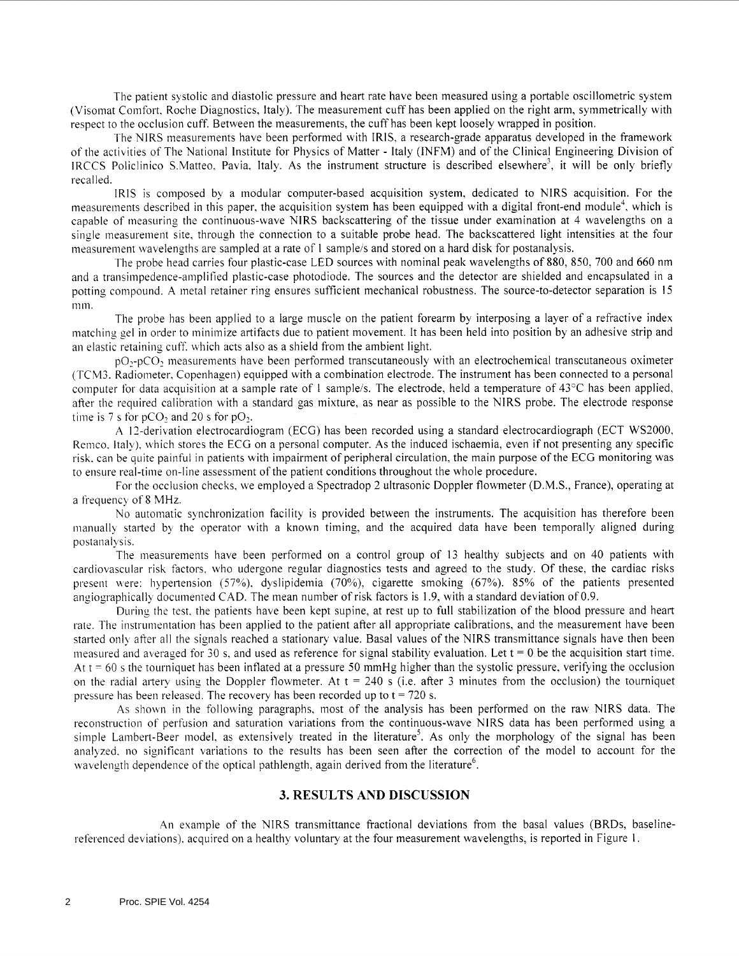The patient systolic and diastolic pressure and heart rate have been measured using a portable oscillometric system (Visomat Comfort, Roche Diagnostics, Italy). The measurement cuff has been applied on the right arm, symmetrically with respect to the occlusion cuff. Between the measurements, the cuff has been kept loosely wrapped in position.

The NIRS measurements have been performed with IRIS, a research-grade apparatus developed in the framework of the activities of The National Institute for Physics of Matter - Italy (INFM) and of the Clinical Engineering Division of IRCCS Policlinico S.Matteo, Pavia. Italy. **As** the instrument structure is described elsewhere', it will be only briefly recalled.

IRIS is composed by a modular computer-based acquisition system, dedicated to NIRS acquisition. For the measurements described in this paper, the acquisition system has been equipped with a digital front-end module4, which is capable of measuring the continuous-wave NlRS backscattering of the tissue under examination at 4 wavelengths on a single measurement site, through the connection to a suitable probe head. The backscattered light intensities at the four measurement wavelengths are sampled at a rate of 1 sample/s and stored on a hard disk for postanalysis.

The probe head carries four plastic-case LED sources with nominal peak wavelengths of 880, 850, *700* and *660* nm and a transimpedence-amplified plastic-case photodiode. The sources and the detector are shielded and encapsulated in a potting compound. A metal retainer ring ensures sufficient mechanical robustness. The source-to-detector separation is 15 mm.

The probe has been applied to a large muscle on the patient forearm by interposing a layer of a refractive index matching gel in order to minimize artifacts due to patient movement. It has been held into position by an adhesive strip and an elastic retaining cuff. which acts also as a shield from the ambient light.

pO<sub>2</sub>-pCO<sub>2</sub> measurements have been performed transcutaneously with an electrochemical transcutaneous oximeter (TCM3. Radiometer. Copenhagen) equipped with a combination electrode. The instrument has been connected to a personal computer for data acquisition at a sample rate of 1 sample/s. The electrode, held a temperature of  $43^{\circ}$ C has been applied, after the required calibration with a standard gas mixture, as near as possible to the NlRS probe. The electrode response time is  $7 \text{ s}$  for  $pCO_2$  and  $20 \text{ s}$  for  $pO_2$ .

**A** I ?-derivation electrocardiogram (ECG) has been recorded using a standard electrocardiograph (ECT WS2000, Remco. Italy), which stores the ECG on a personal computer. As the induced ischaemia, even if not presenting any specific risk. can be quite painful in patients with impairment of peripheral circulation, the main purpose of the ECG monitoring was to ensure real-time on-line assessment of the patient conditions throughout the whole procedure.

For the occlusion checks, we employed a Spectradop 2 ultrasonic Doppler flowmeter (D.M.S., France), operating at a frequency of 8 MHz.

No automatic synchronization facility is provided between the instruments. The acquisition has therefore been manually started by the operator with a known timing, and the acquired data have been temporally aligned during postanalysis.

The measurements have been performed on a control group of 13 healthy subjects and on 40 patients with cardiovascular risk factors, who udergone regular diagnostics tests and agreed to the study. Of these, the cardiac risks present bere: hypertension (57%). dyslipidemia *(70%),* cigarette smoking *(67%).* 85% of the patients presented angiographically documented CAD. The mean number of risk factors is 1.9, with a standard deviation of 0.9.

During the test. the patients have been kept supine, at rest up to full stabilization of the blood pressure and heart rate. The instrumentation has been applied to the patient after all appropriate calibrations, and the measurement have been started only after all the signals reached a stationary value. Basal values of the NlRS transmittance signals have then been measured and averaged for 30 s, and used as reference for signal stability evaluation. Let  $t = 0$  be the acquisition start time. At t = *60* **5** the tourniquet has been inflated at a pressure 50 mmHg higher than the systolic pressure, verifying the occlusion on the radial artery using the Doppler flowmeter. At  $t = 240$  s (i.e. after 3 minutes from the occlusion) the tourniquet pressure has been released. The recovery has been recorded up to t = *720* s.

As shown in the following paragraphs, most of the analysis has been performed on the raw NIRS data. The reconstruction of perfusion and saturation variations from the continuous-wave NlRS data has been performed using a simple Lambert-Beer model, as extensively treated in the literature<sup>5</sup>. As only the morphology of the signal has been analyzed. no significant variations to the results has been seen after the correction of the model to account for the wavelength dependence of the optical pathlength, again derived from the literature<sup>6</sup>.

#### **3. RESULTS AND DISCUSSION**

An example of the NlRS transmittance fractional deviations from the basal values (BRDs, baselinereferenced deviations). acquired on a healthy voluntary at the four measurement wavelengths, is reported in Figure I.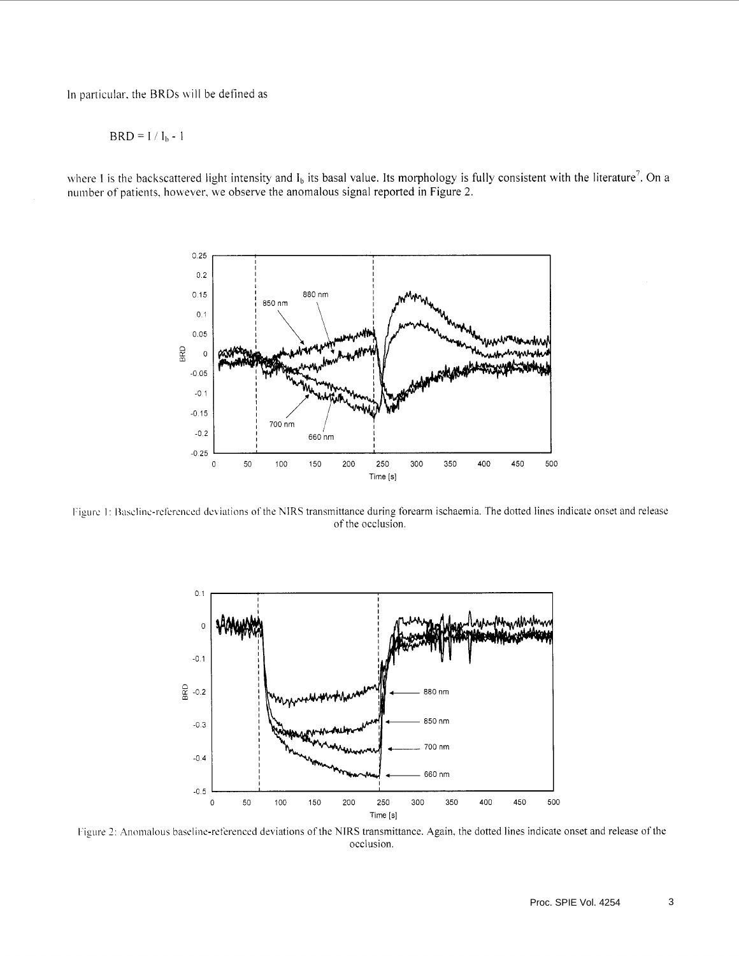In particular, the BRDs will be defined as

 $BRD = I / I_b - 1$ 

where I is the backscattered light intensity and  $I_b$  its basal value. Its morphology is fully consistent with the literature<sup>7</sup>. On a number of patients, however, we observe the anomalous signal reported in Figure 2.



Figure 1: Baseline-referenced deviations of the NIRS transmittance during forearm ischaemia. The dotted lines indicate onset and release of the occlusion.



Figure 2: Anomalous baseline-referenced deviations of the NIRS transmittance. Again, the dotted lines indicate onset and release of the occlusion.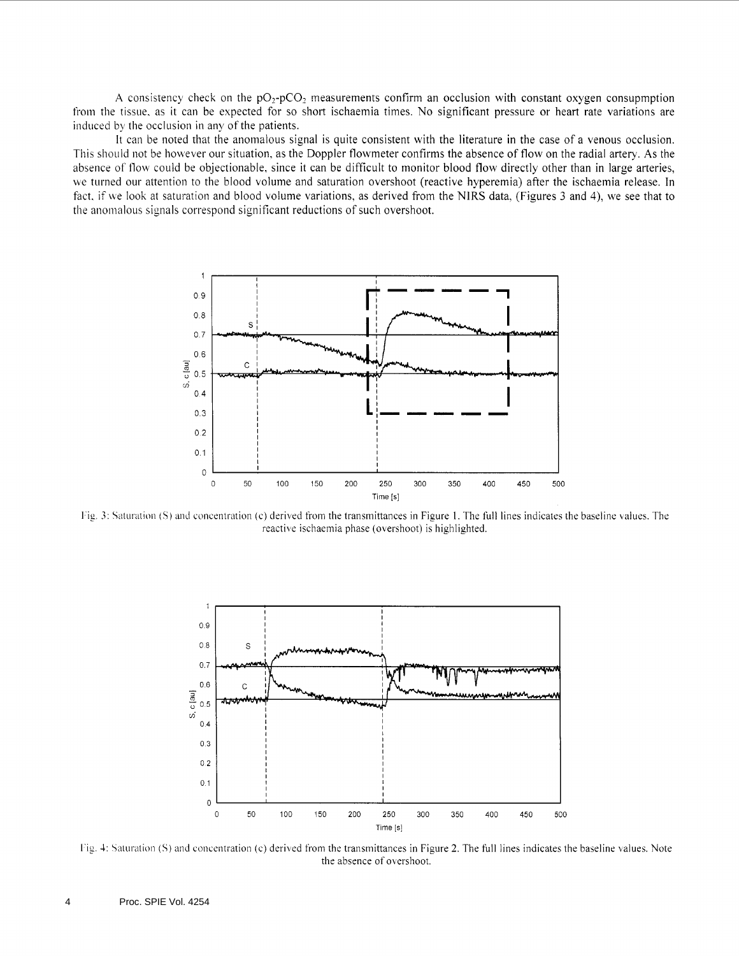A consistency check on the  $pO_2$ -pCO<sub>2</sub> measurements confirm an occlusion with constant oxygen consupmption from the tissue, as it can be expected for so short ischaemia times. No significant pressure or heart rate variations are induced by the occlusion in any of the patients.

It can be noted that the anomalous signal is quite consistent with the literature in the case of a venous occlusion. This should not be however our situation, as the Doppler flowmeter confirms the absence of flow on the radial artery. **As** the absence of flow could be objectionable, since it can be difficult to monitor blood flow directly other than in large arteries, we turned our attention to the blood volume and saturation overshoot (reactive hyperemia) after the ischaemia release. In fact, if we look at saturation and blood volume variations, as derived from the NIRS data, (Figures 3 and 4), we see that to the anomalous signals correspond significant reductions of such overshoot.



l'ig, 3: Saturation (S) and concentration (c) derived from the transmittances in Figure 1. The full lines indicates the baseline values. The reactive ischaemia phase (overshoot) is highlighted.



I'ig. **1:** Saturation **(S)** and concentration (c) derived from the transmittances in Figure 2. The full lines indicates the baseline values. Note the absence of overshoot.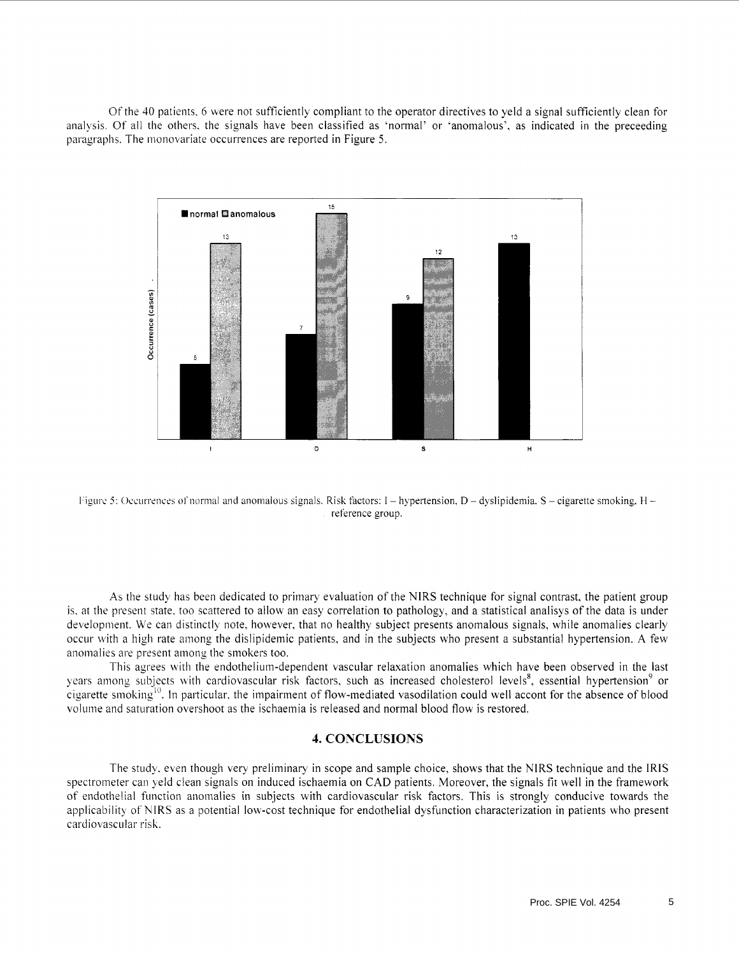Ofthe 40 patients, 6 here not sufficiently compliant to the operator directives to yeld a signal sufficiently clean for analysis. Of all the others. the signals have been classified as 'normal' or 'anomalous'. as indicated in the preceeding paragraphs. The monovariate occurrences are reported in Figure 5.



k'igtirc *5:* Occurrences ol'normal and anomalous signals. Risk factors: 1 - hypertension, D - dyslipidemia. S - cigarette smoking. **tl**  reference group.

**As** the stud) has been dedicated to primary evaluation of the NlRS technique for signal contrast, the patient group is. at the present state. too scattered to allow an easy correlation to pathology, and a statistical analisys of the data is under development. We can distinctly note, however, that no healthy subject presents anomalous signals, while anomalies clearly occur with a high rate among the dislipidemic patients, and in the subjects who present a substantial hypertension. **A** few anomalies are present among the smokers too.

This agrees with the endothelium-dependent vascular relaxation anomalies which have been observed in the last years among subjects with cardiovascular risk factors, such as increased cholesterol levels<sup>8</sup>, essential hypertension<sup>9</sup> or  $\epsilon$  cigarette smoking<sup>10</sup>. In particular, the impairment of flow-mediated vasodilation could well accont for the absence of blood voliinie and saturation overshoot as the ischaemia is released and normal blood flow is restored.

# **4. CONCLUSIONS**

The study. even though very preliminary in scope and sample choice, shows that the NlRS technique and the IRIS spectrometer can yeld clean signals on induced ischaemia on CAD patients. Moreover, the signals fit well in the framework of endothelial function anomalies in subjects with cardiovascular risk factors. This is strongly conducive towards the applicability of NIRS as a potential low-cost technique for endothelial dysfunction characterization in patients who present cardiovascular risk.